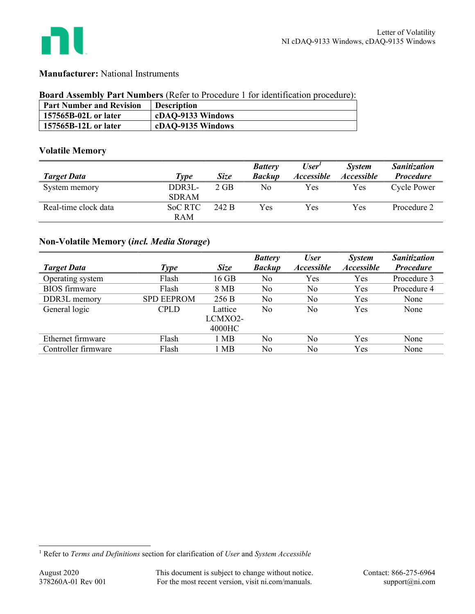

## Manufacturer: National Instruments

### Board Assembly Part Numbers (Refer to Procedure 1 for identification procedure):

| <b>Part Number and Revision</b> | <b>Description</b> |
|---------------------------------|--------------------|
| 157565B-02L or later            | cDAQ-9133 Windows  |
| 157565B-12L or later            | cDAQ-9135 Windows  |

## Volatile Memory

|                      |                |             | <b>Battery</b> | User <sup>1</sup> | <b>System</b>            | <i>Sanitization</i> |
|----------------------|----------------|-------------|----------------|-------------------|--------------------------|---------------------|
| <b>Target Data</b>   | Type           | <b>Size</b> | <b>Backup</b>  | <b>Accessible</b> | <i><b>Accessible</b></i> | <b>Procedure</b>    |
| System memory        | DDR3L-         | $2$ GB      | No             | Yes               | Yes                      | <b>Cycle Power</b>  |
|                      | <b>SDRAM</b>   |             |                |                   |                          |                     |
| Real-time clock data | <b>SoC RTC</b> | 242 B       | Yes            | Yes               | Yes                      | Procedure 2         |
|                      | <b>RAM</b>     |             |                |                   |                          |                     |

# Non-Volatile Memory (incl. Media Storage)

|                      |                   |             | <b>Battery</b> | <b>User</b>              | <i>System</i>     | Sanitization     |
|----------------------|-------------------|-------------|----------------|--------------------------|-------------------|------------------|
| <b>Target Data</b>   | <b>Type</b>       | <b>Size</b> | <b>Backup</b>  | <i><b>Accessible</b></i> | <b>Accessible</b> | <b>Procedure</b> |
| Operating system     | Flash             | 16 GB       | No             | Yes                      | Yes               | Procedure 3      |
| <b>BIOS</b> firmware | Flash             | 8 MB        | No             | No                       | Yes               | Procedure 4      |
| DDR3L memory         | <b>SPD EEPROM</b> | 256 B       | No             | No                       | Yes               | None             |
| General logic        | <b>CPLD</b>       | Lattice     | No             | No                       | Yes               | None             |
|                      |                   | LCMXO2-     |                |                          |                   |                  |
|                      |                   | 4000HC      |                |                          |                   |                  |
| Ethernet firmware    | Flash             | 1 MB        | No             | No                       | Yes               | None             |
| Controller firmware  | Flash             | l MB        | No             | No                       | Yes               | None             |

<sup>&</sup>lt;sup>1</sup> Refer to Terms and Definitions section for clarification of User and System Accessible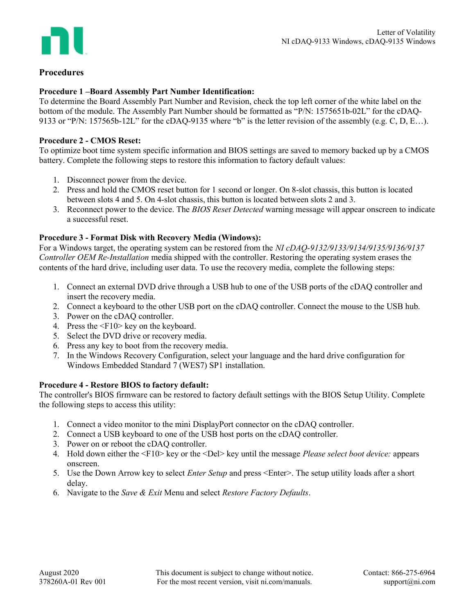

## Procedures

### Procedure 1 –Board Assembly Part Number Identification:

To determine the Board Assembly Part Number and Revision, check the top left corner of the white label on the bottom of the module. The Assembly Part Number should be formatted as "P/N: 1575651b-02L" for the cDAQ-9133 or "P/N: 157565b-12L" for the cDAQ-9135 where "b" is the letter revision of the assembly (e.g. C, D, E…).

### Procedure 2 - CMOS Reset:

To optimize boot time system specific information and BIOS settings are saved to memory backed up by a CMOS battery. Complete the following steps to restore this information to factory default values:

- 1. Disconnect power from the device.
- 2. Press and hold the CMOS reset button for 1 second or longer. On 8-slot chassis, this button is located between slots 4 and 5. On 4-slot chassis, this button is located between slots 2 and 3.
- 3. Reconnect power to the device. The BIOS Reset Detected warning message will appear onscreen to indicate a successful reset.

### Procedure 3 - Format Disk with Recovery Media (Windows):

For a Windows target, the operating system can be restored from the NI cDAQ-9132/9133/9134/9135/9136/9137 Controller OEM Re-Installation media shipped with the controller. Restoring the operating system erases the contents of the hard drive, including user data. To use the recovery media, complete the following steps:

- 1. Connect an external DVD drive through a USB hub to one of the USB ports of the cDAQ controller and insert the recovery media.
- 2. Connect a keyboard to the other USB port on the cDAQ controller. Connect the mouse to the USB hub.
- 3. Power on the cDAQ controller.
- 4. Press the <F10> key on the keyboard.
- 5. Select the DVD drive or recovery media.
- 6. Press any key to boot from the recovery media.
- 7. In the Windows Recovery Configuration, select your language and the hard drive configuration for Windows Embedded Standard 7 (WES7) SP1 installation.

### Procedure 4 - Restore BIOS to factory default:

The controller's BIOS firmware can be restored to factory default settings with the BIOS Setup Utility. Complete the following steps to access this utility:

- 1. Connect a video monitor to the mini DisplayPort connector on the cDAQ controller.
- 2. Connect a USB keyboard to one of the USB host ports on the cDAQ controller.
- 3. Power on or reboot the cDAQ controller.
- 4. Hold down either the <F10> key or the <Del> key until the message Please select boot device: appears onscreen.
- 5. Use the Down Arrow key to select *Enter Setup* and press <Enter>. The setup utility loads after a short delay.
- 6. Navigate to the Save & Exit Menu and select Restore Factory Defaults.